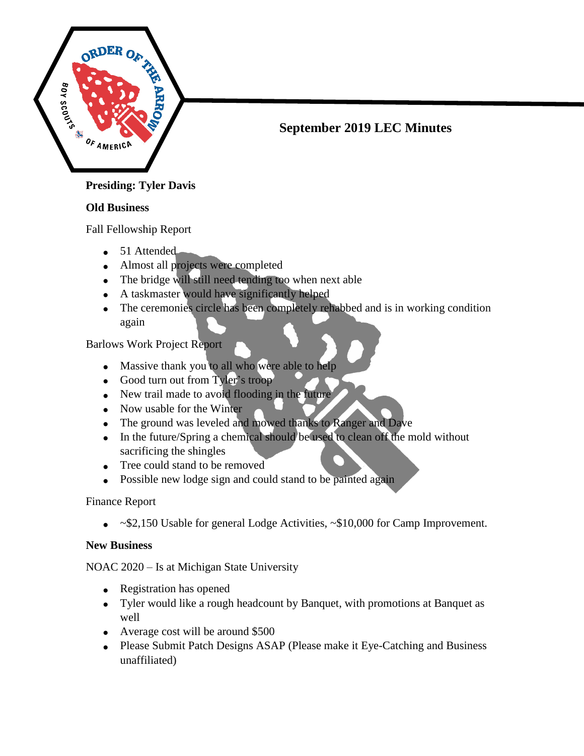

# **September 2019 LEC Minutes**

# **Old Business**

Fall Fellowship Report

- 51 Attended
- Almost all projects were completed
- The bridge will still need tending too when next able
- A taskmaster would have significantly helped
- The ceremonies circle has been completely rehabbed and is in working condition again

Barlows Work Project Report

- Massive thank you to all who were able to help
- Good turn out from Tyler's troop
- New trail made to avoid flooding in the future
- Now usable for the Winter
- The ground was leveled and mowed thanks to Ranger and Dave
- In the future/Spring a chemical should be used to clean off the mold without sacrificing the shingles
- Tree could stand to be removed
- Possible new lodge sign and could stand to be painted again

Finance Report

~\$2,150 Usable for general Lodge Activities, ~\$10,000 for Camp Improvement.

# **New Business**

NOAC 2020 – Is at Michigan State University

- Registration has opened
- Tyler would like a rough headcount by Banquet, with promotions at Banquet as well
- Average cost will be around \$500
- Please Submit Patch Designs ASAP (Please make it Eye-Catching and Business unaffiliated)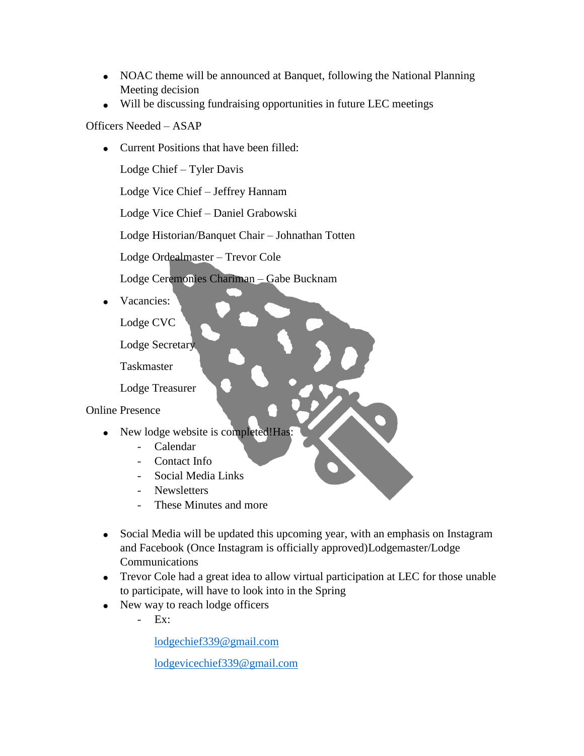- NOAC theme will be announced at Banquet, following the National Planning Meeting decision
- Will be discussing fundraising opportunities in future LEC meetings

## Officers Needed – ASAP

• Current Positions that have been filled:

Lodge Chief – Tyler Davis

Lodge Vice Chief – Jeffrey Hannam

Lodge Vice Chief – Daniel Grabowski

Lodge Historian/Banquet Chair – Johnathan Totten

Lodge Ordealmaster – Trevor Cole

Lodge Ceremonies Chariman – Gabe Bucknam

Vacancies:

Lodge CVC

Lodge Secretary

Taskmaster

Lodge Treasurer

Online Presence

- New lodge website is completed!Has:
	- Calendar
	- Contact Info
	- Social Media Links
	- Newsletters
	- These Minutes and more
- Social Media will be updated this upcoming year, with an emphasis on Instagram and Facebook (Once Instagram is officially approved)Lodgemaster/Lodge **Communications**
- Trevor Cole had a great idea to allow virtual participation at LEC for those unable to participate, will have to look into in the Spring
- New way to reach lodge officers
	- Ex:

[lodgechief339@gmail.com](mailto:lodgechief339@gmail.com)

[lodgevicechief339@gmail.com](mailto:lodgevicechief339@gmail.com)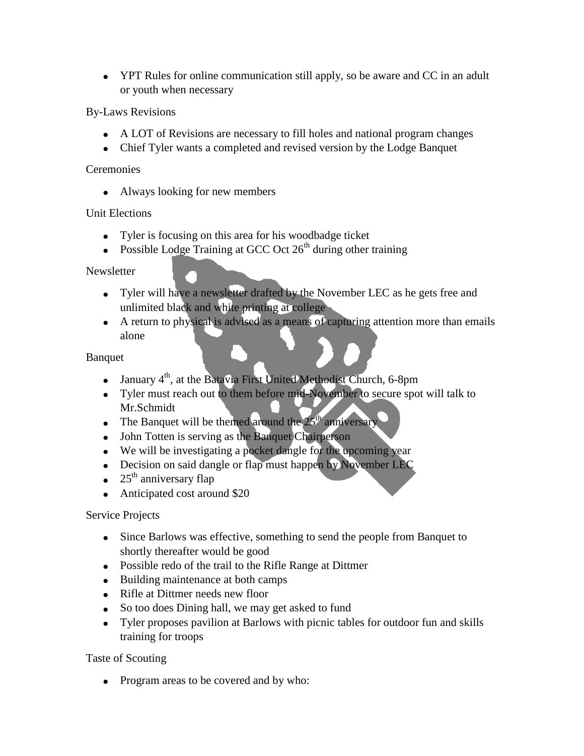• YPT Rules for online communication still apply, so be aware and CC in an adult or youth when necessary

By-Laws Revisions

- A LOT of Revisions are necessary to fill holes and national program changes
- Chief Tyler wants a completed and revised version by the Lodge Banquet

#### **Ceremonies**

• Always looking for new members

### Unit Elections

- Tyler is focusing on this area for his woodbadge ticket
- Possible Lodge Training at GCC Oct  $26<sup>th</sup>$  during other training

#### **Newsletter**

- Tyler will have a newsletter drafted by the November LEC as he gets free and unlimited black and white printing at college
- A return to physical is advised as a means of capturing attention more than emails alone

#### Banquet

- January  $4<sup>th</sup>$ , at the Batavia First United Methodist Church, 6-8pm
- Tyler must reach out to them before mid-November to secure spot will talk to Mr.Schmidt
- The Banquet will be themed around the  $25<sup>th</sup>$  anniversary
- John Totten is serving as the Banquet Chairperson
- We will be investigating a pocket dangle for the upcoming year
- Decision on said dangle or flap must happen by November LEC
- $\bullet$  25<sup>th</sup> anniversary flap
- Anticipated cost around \$20

### Service Projects

- Since Barlows was effective, something to send the people from Banquet to shortly thereafter would be good
- Possible redo of the trail to the Rifle Range at Dittmer
- Building maintenance at both camps
- Rifle at Dittmer needs new floor
- So too does Dining hall, we may get asked to fund
- Tyler proposes pavilion at Barlows with picnic tables for outdoor fun and skills training for troops

### Taste of Scouting

• Program areas to be covered and by who: